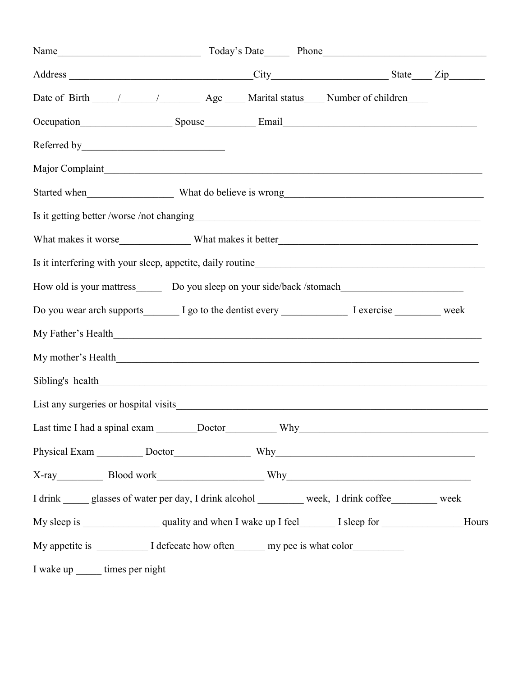| Address City State Zip                                                                                       |  |  |
|--------------------------------------------------------------------------------------------------------------|--|--|
|                                                                                                              |  |  |
|                                                                                                              |  |  |
|                                                                                                              |  |  |
| Major Complaint                                                                                              |  |  |
| Started when What do believe is wrong Number of the Material Started when Number of What do believe is wrong |  |  |
|                                                                                                              |  |  |
|                                                                                                              |  |  |
|                                                                                                              |  |  |
| How old is your mattress________ Do you sleep on your side/back /stomach____________________________         |  |  |
| Do you wear arch supports________ I go to the dentist every ___________________ I exercise ___________ week  |  |  |
|                                                                                                              |  |  |
|                                                                                                              |  |  |
|                                                                                                              |  |  |
|                                                                                                              |  |  |
|                                                                                                              |  |  |
|                                                                                                              |  |  |
| X-ray Blood work Why                                                                                         |  |  |
| I drink ______ glasses of water per day, I drink alcohol __________ week, I drink coffee _________ week      |  |  |
|                                                                                                              |  |  |
| My appetite is ______________ I defecate how often________ my pee is what color_____________                 |  |  |
| I wake up ______ times per night                                                                             |  |  |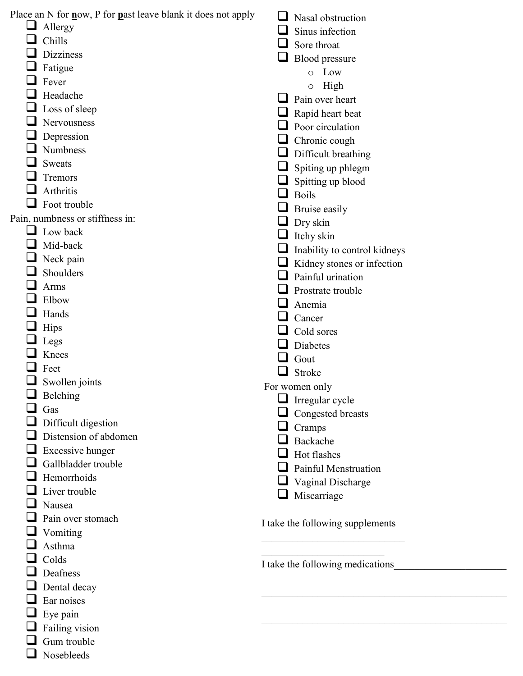| Place an N for now, P for neast leave blank it does not apply | Nasal obstruction                |
|---------------------------------------------------------------|----------------------------------|
| Allergy                                                       | Sinus infection                  |
| Chills                                                        | Sore throat                      |
| Dizziness                                                     | Blood pressure                   |
| Fatigue                                                       | Low<br>$\circ$                   |
| Fever                                                         | High<br>$\circ$                  |
| Headache                                                      | Pain over heart                  |
| Loss of sleep                                                 | Rapid heart beat                 |
| Nervousness                                                   | Poor circulation                 |
| Depression                                                    | Chronic cough                    |
| Numbness                                                      | Difficult breathing              |
| Sweats                                                        | Spiting up phlegm                |
| Tremors                                                       |                                  |
| Arthritis                                                     | Spitting up blood                |
| Foot trouble                                                  | <b>Boils</b>                     |
| Pain, numbness or stiffness in:                               | Bruise easily                    |
| Low back                                                      | Dry skin                         |
| Mid-back                                                      | Itchy skin                       |
| Neck pain                                                     | Inability to control kidneys     |
| Shoulders                                                     | Kidney stones or infection       |
| Arms                                                          | Painful urination                |
| Elbow                                                         | Prostrate trouble                |
| Hands                                                         | Anemia                           |
|                                                               | Cancer                           |
| Hips                                                          | Cold sores                       |
| Legs                                                          | Diabetes                         |
| Knees                                                         | Gout                             |
| Feet                                                          | Stroke                           |
| Swollen joints                                                | For women only                   |
| Belching                                                      | Irregular cycle                  |
| Gas                                                           | Congested breasts                |
| Difficult digestion                                           | Cramps                           |
| Distension of abdomen                                         | Backache                         |
| Excessive hunger                                              | Hot flashes                      |
| Gallbladder trouble                                           | Painful Menstruation             |
| Hemorrhoids                                                   | Vaginal Discharge                |
| Liver trouble                                                 | Miscarriage                      |
| Nausea                                                        |                                  |
| Pain over stomach                                             | I take the following supplements |
| Vomiting                                                      |                                  |
| Asthma                                                        |                                  |
| Colds                                                         | I take the following medications |
| Deafness                                                      |                                  |
| Dental decay                                                  |                                  |
| Ear noises                                                    |                                  |
| Eye pain                                                      |                                  |
| Failing vision                                                |                                  |
| Gum trouble                                                   |                                  |
| Nosebleeds                                                    |                                  |
|                                                               |                                  |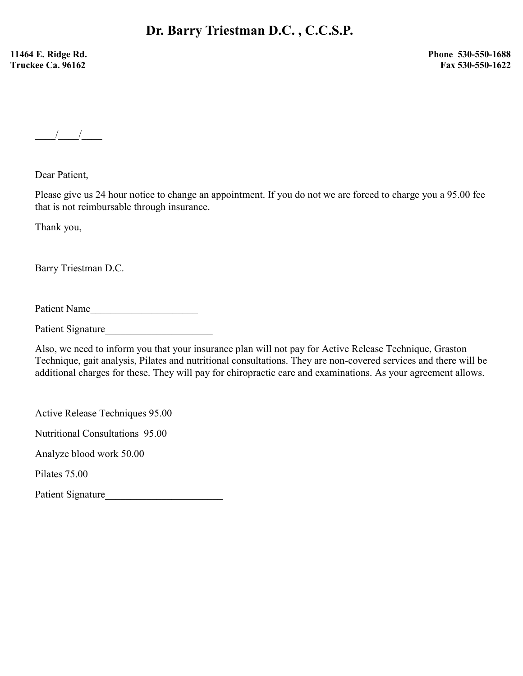11464 E. Ridge Rd. Truckee Ca. 96162

 Phone 530-550-1688 Fax 530-550-1622

 $\frac{1}{\sqrt{2\pi}}$ 

Dear Patient,

Please give us 24 hour notice to change an appointment. If you do not we are forced to charge you a 95.00 fee that is not reimbursable through insurance.

Thank you,

Barry Triestman D.C.

Patient Name

Patient Signature

Also, we need to inform you that your insurance plan will not pay for Active Release Technique, Graston Technique, gait analysis, Pilates and nutritional consultations. They are non-covered services and there will be additional charges for these. They will pay for chiropractic care and examinations. As your agreement allows.

Active Release Techniques 95.00

Nutritional Consultations 95.00

Analyze blood work 50.00

Pilates 75.00

Patient Signature